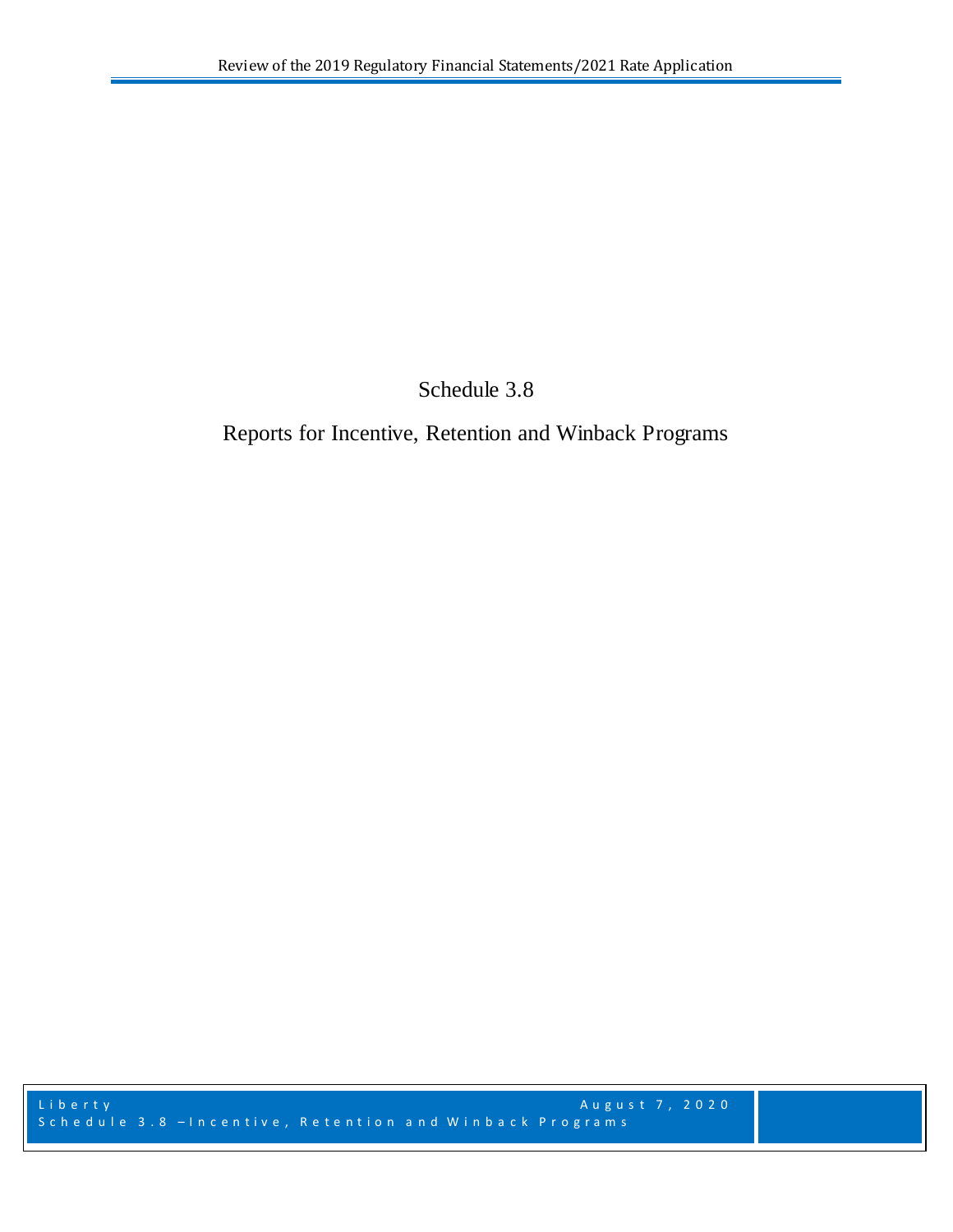Schedule 3.8

Reports for Incentive, Retention and Winback Programs